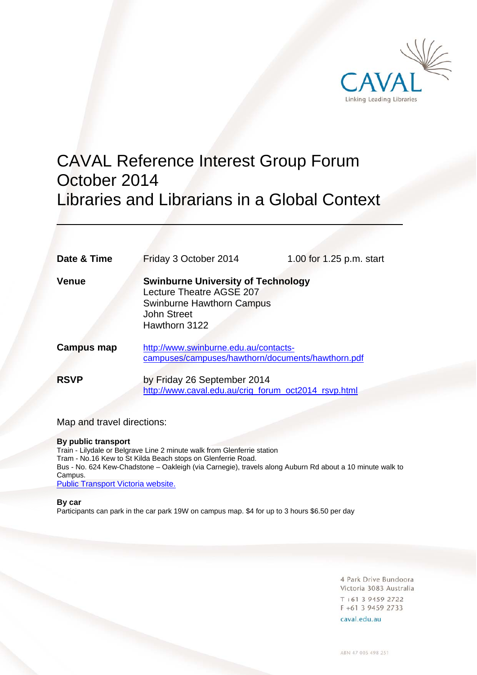

# CAVAL Reference Interest Group Forum October 2014 Libraries and Librarians in a Global Context

| Date & Time | Friday 3 October 2014                                                                                                                            | 1.00 for 1.25 p.m. start |
|-------------|--------------------------------------------------------------------------------------------------------------------------------------------------|--------------------------|
| Venue       | <b>Swinburne University of Technology</b><br>Lecture Theatre AGSE 207<br><b>Swinburne Hawthorn Campus</b><br><b>John Street</b><br>Hawthorn 3122 |                          |
| Campus map  | http://www.swinburne.edu.au/contacts-<br>campuses/campuses/hawthorn/documents/hawthorn.pdf                                                       |                          |
| <b>RSVP</b> | by Friday 26 September 2014<br>http://www.caval.edu.au/crig_forum_oct2014_rsvp.html                                                              |                          |

Map and travel directions:

#### **By public transport**

Train - Lilydale or Belgrave Line 2 minute walk from Glenferrie station Tram - No.16 Kew to St Kilda Beach stops on Glenferrie Road. Bus - No. 624 Kew-Chadstone – Oakleigh (via Carnegie), travels along Auburn Rd about a 10 minute walk to Campus. Public Transport Victoria website.

#### **By car**

 $\overline{a}$ 

Participants can park in the car park 19W on campus map. \$4 for up to 3 hours \$6.50 per day

4 Park Drive Bundoora Victoria 3083 Australia  $T + 61$  3 9459 2722 F +61 3 9459 2733

caval.edu.au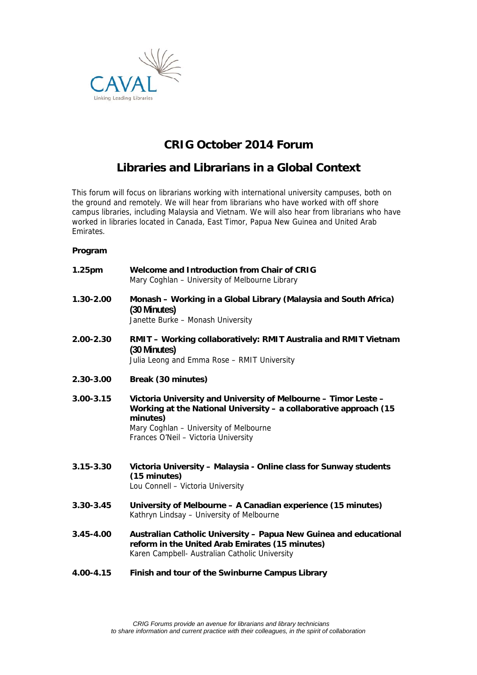

# **CRIG October 2014 Forum**

# **Libraries and Librarians in a Global Context**

This forum will focus on librarians working with international university campuses, both on the ground and remotely. We will hear from librarians who have worked with off shore campus libraries, including Malaysia and Vietnam. We will also hear from librarians who have worked in libraries located in Canada, East Timor, Papua New Guinea and United Arab Emirates.

## **Program**

| 1.25pm        | Welcome and Introduction from Chair of CRIG<br>Mary Coghlan - University of Melbourne Library                                                                                                                                      |
|---------------|------------------------------------------------------------------------------------------------------------------------------------------------------------------------------------------------------------------------------------|
| 1.30-2.00     | Monash - Working in a Global Library (Malaysia and South Africa)<br>(30 Minutes)<br>Janette Burke - Monash University                                                                                                              |
| 2.00-2.30     | RMIT - Working collaboratively: RMIT Australia and RMIT Vietnam<br>(30 Minutes)<br>Julia Leong and Emma Rose - RMIT University                                                                                                     |
| 2.30-3.00     | Break (30 minutes)                                                                                                                                                                                                                 |
| $3.00 - 3.15$ | Victoria University and University of Melbourne - Timor Leste -<br>Working at the National University - a collaborative approach (15<br>minutes)<br>Mary Coghlan - University of Melbourne<br>Frances O'Neil - Victoria University |
| $3.15 - 3.30$ | Victoria University - Malaysia - Online class for Sunway students<br>(15 minutes)<br>Lou Connell - Victoria University                                                                                                             |
| $3.30 - 3.45$ | University of Melbourne - A Canadian experience (15 minutes)<br>Kathryn Lindsay - University of Melbourne                                                                                                                          |
| 3.45-4.00     | Australian Catholic University - Papua New Guinea and educational<br>reform in the United Arab Emirates (15 minutes)<br>Karen Campbell- Australian Catholic University                                                             |
| 4.00-4.15     | Finish and tour of the Swinburne Campus Library                                                                                                                                                                                    |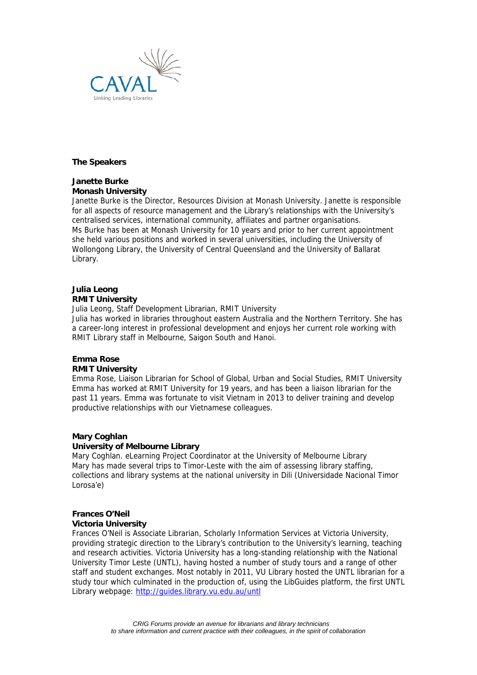

#### **The Speakers**

## **Janette Burke Monash University**

Janette Burke is the Director, Resources Division at Monash University. Janette is responsible for all aspects of resource management and the Library's relationships with the University's centralised services, international community, affiliates and partner organisations. Ms Burke has been at Monash University for 10 years and prior to her current appointment she held various positions and worked in several universities, including the University of Wollongong Library, the University of Central Queensland and the University of Ballarat Library.

#### **Julia Leong RMIT University**

Julia Leong, Staff Development Librarian, RMIT University

Julia has worked in libraries throughout eastern Australia and the Northern Territory. She has a career-long interest in professional development and enjoys her current role working with RMIT Library staff in Melbourne, Saigon South and Hanoi.

# **Emma Rose**

#### **RMIT University**

Emma Rose, Liaison Librarian for School of Global, Urban and Social Studies, RMIT University Emma has worked at RMIT University for 19 years, and has been a liaison librarian for the past 11 years. Emma was fortunate to visit Vietnam in 2013 to deliver training and develop productive relationships with our Vietnamese colleagues.

#### **Mary Coghlan**

#### **University of Melbourne Library**

Mary Coghlan. eLearning Project Coordinator at the University of Melbourne Library Mary has made several trips to Timor-Leste with the aim of assessing library staffing, collections and library systems at the national university in Dili (Universidade Nacional Timor Lorosa'e)

# **Frances O'Neil**

#### **Victoria University**

Frances O'Neil is Associate Librarian, Scholarly Information Services at Victoria University, providing strategic direction to the Library's contribution to the University's learning, teaching and research activities. Victoria University has a long-standing relationship with the National University Timor Leste (UNTL), having hosted a number of study tours and a range of other staff and student exchanges. Most notably in 2011, VU Library hosted the UNTL librarian for a study tour which culminated in the production of, using the LibGuides platform, the first UNTL Library webpage: http://guides.library.vu.edu.au/untl